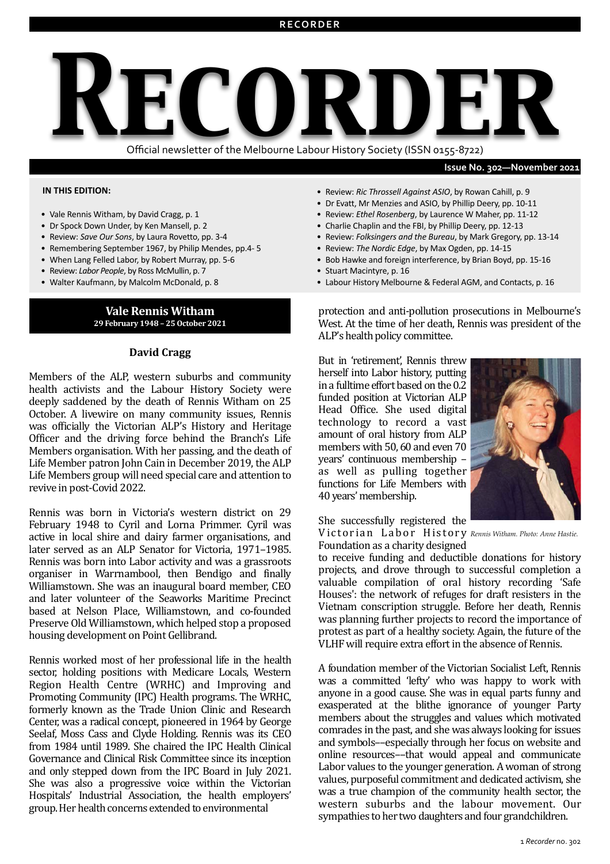# *Recorder* Official newsletter of the Melbourne Labour History Society (ISSN 0155-8722)

#### **Issue No. 302-November 2021**

#### **IN THIS EDITION:**

- Vale Rennis Witham, by David Cragg, p. 1
- Dr Spock Down Under, by Ken Mansell, p. 2
- Review: Save Our Sons, by Laura Rovetto, pp. 3-4
- Remembering September 1967, by Philip Mendes, pp.4-5
- When Lang Felled Labor, by Robert Murray, pp. 5-6
- Review: *Labor People*, by Ross McMullin, p. 7
- Walter Kaufmann, by Malcolm McDonald, p. 8

#### **Vale Rennis Witham 29 February 1948 – 25 October 2021**

#### **David Cragg**

Members of the ALP, western suburbs and community health activists and the Labour History Society were deeply saddened by the death of Rennis Witham on 25 October. A livewire on many community issues, Rennis was officially the Victorian ALP's History and Heritage Officer and the driving force behind the Branch's Life Members organisation. With her passing, and the death of Life Member patron John Cain in December 2019, the ALP Life Members group will need special care and attention to revive in post-Covid 2022.

Rennis was born in Victoria's western district on 29 February 1948 to Cyril and Lorna Primmer. Cyril was active in local shire and dairy farmer organisations, and later served as an ALP Senator for Victoria, 1971–1985. Rennis was born into Labor activity and was a grassroots organiser in Warrnambool, then Bendigo and finally Williamstown. She was an inaugural board member, CEO and later volunteer of the Seaworks Maritime Precinct based at Nelson Place, Williamstown, and co-founded Preserve Old Williamstown, which helped stop a proposed housing development on Point Gellibrand.

Rennis worked most of her professional life in the health sector, holding positions with Medicare Locals, Western Region Health Centre (WRHC) and Improving and Promoting Community (IPC) Health programs. The WRHC, formerly known as the Trade Union Clinic and Research Center, was a radical concept, pioneered in 1964 by George Seelaf, Moss Cass and Clyde Holding. Rennis was its CEO from 1984 until 1989. She chaired the IPC Health Clinical Governance and Clinical Risk Committee since its inception and only stepped down from the IPC Board in July 2021. She was also a progressive voice within the Victorian Hospitals' Industrial Association, the health employers' group. Her health concerns extended to environmental

- Review: Ric Throssell Against ASIO, by Rowan Cahill, p. 9
- Dr Evatt, Mr Menzies and ASIO, by Phillip Deery, pp. 10-11
- Review: Ethel Rosenberg, by Laurence W Maher, pp. 11-12
- Charlie Chaplin and the FBI, by Phillip Deery, pp. 12-13
- Review: Folksingers and the Bureau, by Mark Gregory, pp. 13-14
- Review: The Nordic Edge, by Max Ogden, pp. 14-15
- Bob Hawke and foreign interference, by Brian Boyd, pp. 15-16
- Stuart Macintyre, p. 16
- Labour History Melbourne & Federal AGM, and Contacts, p. 16

protection and anti-pollution prosecutions in Melbourne's West. At the time of her death, Rennis was president of the ALP's health policy committee.

But in 'retirement', Rennis threw herself into Labor history, putting in a fulltime effort based on the 0.2 funded position at Victorian ALP Head Office. She used digital technology to record a vast amount of oral history from ALP members with 50, 60 and even 70 years' continuous membership – as well as pulling together functions for Life Members with 40 years' membership.



She successfully registered the

Victorian Labor History Rennis Witham. Photo: Anne Hastie. Foundation as a charity designed

to receive funding and deductible donations for history projects, and drove through to successful completion a valuable compilation of oral history recording 'Safe Houses': the network of refuges for draft resisters in the Vietnam conscription struggle. Before her death, Rennis was planning further projects to record the importance of protest as part of a healthy society. Again, the future of the VLHF will require extra effort in the absence of Rennis.

A foundation member of the Victorian Socialist Left, Rennis was a committed 'lefty' who was happy to work with anyone in a good cause. She was in equal parts funny and exasperated at the blithe ignorance of younger Party members about the struggles and values which motivated comrades in the past, and she was always looking for issues and symbols--especially through her focus on website and online resources--that would appeal and communicate Labor values to the younger generation. A woman of strong values, purposeful commitment and dedicated activism, she was a true champion of the community health sector, the western suburbs and the labour movement. Our sympathies to her two daughters and four grandchildren.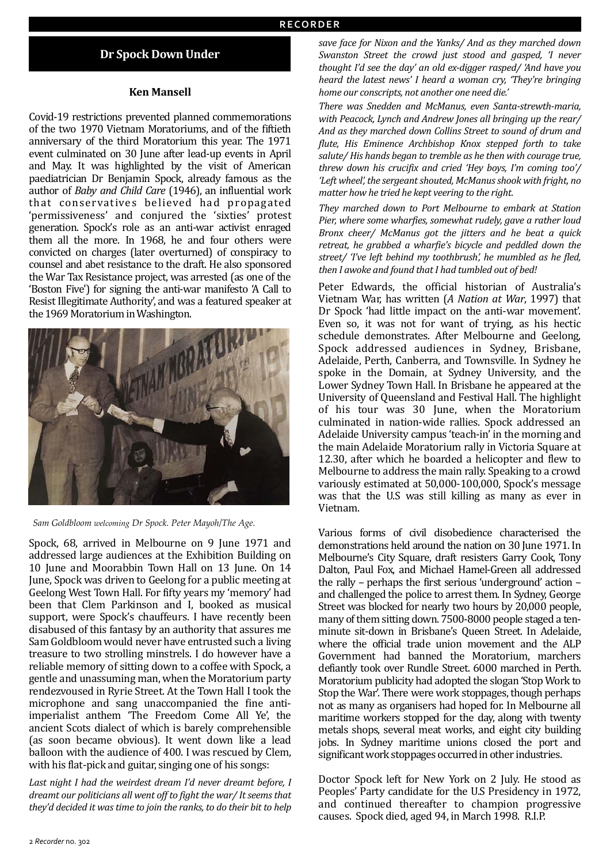## **Dr Spock Down Under**

#### **Ken Mansell**

Covid-19 restrictions prevented planned commemorations of the two 1970 Vietnam Moratoriums, and of the fiftieth anniversary of the third Moratorium this year. The 1971 event culminated on 30 June after lead-up events in April and May. It was highlighted by the visit of American paediatrician Dr Benjamin Spock, already famous as the author of *Baby and Child Care* (1946), an influential work that conservatives believed had propagated 'permissiveness' and conjured the 'sixties' protest generation. Spock's role as an anti-war activist enraged them all the more. In 1968, he and four others were convicted on charges (later overturned) of conspiracy to counsel and abet resistance to the draft. He also sponsored the War Tax Resistance project, was arrested (as one of the 'Boston Five') for signing the anti-war manifesto 'A Call to Resist Illegitimate Authority', and was a featured speaker at the 1969 Moratorium in Washington.



*Sam Goldbloom welcoming Dr Spock. Peter Mayoh/The Age.*

Spock, 68, arrived in Melbourne on 9 June 1971 and addressed large audiences at the Exhibition Building on 10 June and Moorabbin Town Hall on 13 June. On 14 June, Spock was driven to Geelong for a public meeting at Geelong West Town Hall. For fifty years my 'memory' had been that Clem Parkinson and I, booked as musical support, were Spock's chauffeurs. I have recently been disabused of this fantasy by an authority that assures me Sam Goldbloom would never have entrusted such a living treasure to two strolling minstrels. I do however have a reliable memory of sitting down to a coffee with Spock, a gentle and unassuming man, when the Moratorium party rendezvoused in Ryrie Street. At the Town Hall I took the microphone and sang unaccompanied the fine antiimperialist anthem 'The Freedom Come All Ye', the ancient Scots dialect of which is barely comprehensible (as soon became obvious). It went down like a lead balloon with the audience of 400. I was rescued by Clem, with his flat-pick and guitar, singing one of his songs:

Last night I had the weirdest dream I'd never dreamt before, I *dreamt our politicians all went off to fight the war/ It seems that* they'd decided it was time to join the ranks, to do their bit to help

save face for Nixon and the Yanks/ And as they marched down *Swanston Street the crowd just stood and gasped, 'I never thought I'd see the day' an old ex-digger rasped/ 'And have you heard the latest news' I heard a woman cry, 'They're bringing* home our conscripts, not another one need die.<sup>'</sup>

There was Snedden and McManus, even Santa-strewth-maria, with Peacock, Lynch and Andrew Jones all bringing up the rear/ And as they marched down Collins Street to sound of drum and *flute, His Eminence Archbishop Knox stepped forth to take* salute/ His hands began to tremble as he then with courage true, *threw down his crucifix and cried 'Hey boys, I'm coming too'/*  Left wheel', the sergeant shouted, McManus shook with fright, no *matter how he tried he kept veering to the right.* 

They marched down to Port Melbourne to embark at Station *Pier, where some wharfies, somewhat rudely, gave a rather loud Bronx cheer/ McManus got the jitters and he beat a quick retreat, he grabbed a wharfie's bicycle and peddled down the* street/ *'I've left behind my toothbrush', he mumbled as he fled,* then I awoke and found that I had tumbled out of bed!

Peter Edwards, the official historian of Australia's Vietnam War, has written (*A Nation at War*, 1997) that Dr Spock 'had little impact on the anti-war movement'. Even so, it was not for want of trying, as his hectic schedule demonstrates. After Melbourne and Geelong, Spock addressed audiences in Sydney, Brisbane, Adelaide, Perth, Canberra, and Townsville. In Sydney he spoke in the Domain, at Sydney University, and the Lower Sydney Town Hall. In Brisbane he appeared at the University of Queensland and Festival Hall. The highlight of his tour was 30 June, when the Moratorium culminated in nation-wide rallies. Spock addressed an Adelaide University campus 'teach-in' in the morning and the main Adelaide Moratorium rally in Victoria Square at 12.30, after which he boarded a helicopter and flew to Melbourne to address the main rally. Speaking to a crowd variously estimated at 50,000-100,000, Spock's message was that the U.S was still killing as many as ever in Vietnam. 

Various forms of civil disobedience characterised the demonstrations held around the nation on 30 June 1971. In Melbourne's City Square, draft resisters Garry Cook, Tony Dalton, Paul Fox, and Michael Hamel-Green all addressed the rally – perhaps the first serious 'underground' action – and challenged the police to arrest them. In Sydney, George Street was blocked for nearly two hours by 20,000 people, many of them sitting down. 7500-8000 people staged a tenminute sit-down in Brisbane's Queen Street. In Adelaide, where the official trade union movement and the ALP Government had banned the Moratorium, marchers defiantly took over Rundle Street. 6000 marched in Perth. Moratorium publicity had adopted the slogan 'Stop Work to Stop the War'. There were work stoppages, though perhaps not as many as organisers had hoped for. In Melbourne all maritime workers stopped for the day, along with twenty metals shops, several meat works, and eight city building jobs. In Sydney maritime unions closed the port and significant work stoppages occurred in other industries.

Doctor Spock left for New York on 2 July. He stood as Peoples' Party candidate for the U.S Presidency in 1972, and continued thereafter to champion progressive causes. Spock died, aged 94, in March 1998. R.I.P.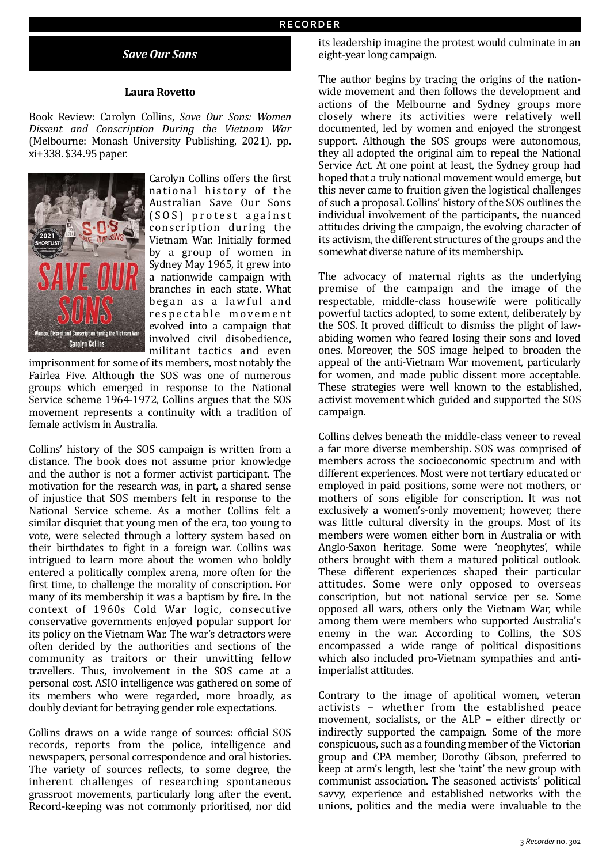# *Save Our Sons*

#### **Laura Rovetto**

Book Review: Carolyn Collins, Save Our Sons: Women *Dissent and Conscription During the Vietnam War*  (Melbourne: Monash University Publishing, 2021). pp. xi+338. \$34.95 paper.



Carolyn Collins offers the first national history of the Australian Save Our Sons  $(SOS)$  protest against conscription during the Vietnam War. Initially formed by a group of women in Sydney May 1965, it grew into a nationwide campaign with branches in each state. What began as a lawful and respectable movement evolved into a campaign that involved civil disobedience, militant tactics and even

imprisonment for some of its members, most notably the Fairlea Five. Although the SOS was one of numerous groups which emerged in response to the National Service scheme 1964-1972, Collins argues that the SOS movement represents a continuity with a tradition of female activism in Australia.

Collins' history of the SOS campaign is written from a distance. The book does not assume prior knowledge and the author is not a former activist participant. The motivation for the research was, in part, a shared sense of injustice that SOS members felt in response to the National Service scheme. As a mother Collins felt a similar disquiet that young men of the era, too young to vote, were selected through a lottery system based on their birthdates to fight in a foreign war. Collins was intrigued to learn more about the women who boldly entered a politically complex arena, more often for the first time, to challenge the morality of conscription. For many of its membership it was a baptism by fire. In the context of 1960s Cold War logic, consecutive conservative governments enjoyed popular support for its policy on the Vietnam War. The war's detractors were often derided by the authorities and sections of the community as traitors or their unwitting fellow travellers. Thus, involvement in the SOS came at a personal cost. ASIO intelligence was gathered on some of its members who were regarded, more broadly, as doubly deviant for betraying gender role expectations.

Collins draws on a wide range of sources: official SOS records, reports from the police, intelligence and newspapers, personal correspondence and oral histories. The variety of sources reflects, to some degree, the inherent challenges of researching spontaneous grassroot movements, particularly long after the event. Record-keeping was not commonly prioritised, nor did

its leadership imagine the protest would culminate in an eight-year long campaign.

The author begins by tracing the origins of the nationwide movement and then follows the development and actions of the Melbourne and Sydney groups more closely where its activities were relatively well documented, led by women and enjoyed the strongest support. Although the SOS groups were autonomous, they all adopted the original aim to repeal the National Service Act. At one point at least, the Sydney group had hoped that a truly national movement would emerge, but this never came to fruition given the logistical challenges of such a proposal. Collins' history of the SOS outlines the individual involvement of the participants, the nuanced attitudes driving the campaign, the evolving character of its activism, the different structures of the groups and the somewhat diverse nature of its membership.

The advocacy of maternal rights as the underlying premise of the campaign and the image of the respectable, middle-class housewife were politically powerful tactics adopted, to some extent, deliberately by the SOS. It proved difficult to dismiss the plight of lawabiding women who feared losing their sons and loved ones. Moreover, the SOS image helped to broaden the appeal of the anti-Vietnam War movement, particularly for women, and made public dissent more acceptable. These strategies were well known to the established, activist movement which guided and supported the SOS campaign.

Collins delves beneath the middle-class veneer to reveal a far more diverse membership. SOS was comprised of members across the socioeconomic spectrum and with different experiences. Most were not tertiary educated or employed in paid positions, some were not mothers, or mothers of sons eligible for conscription. It was not exclusively a women's-only movement; however, there was little cultural diversity in the groups. Most of its members were women either born in Australia or with Anglo-Saxon heritage. Some were 'neophytes', while others brought with them a matured political outlook. These different experiences shaped their particular attitudes. Some were only opposed to overseas conscription, but not national service per se. Some opposed all wars, others only the Vietnam War, while among them were members who supported Australia's enemy in the war. According to Collins, the SOS encompassed a wide range of political dispositions which also included pro-Vietnam sympathies and antiimperialist attitudes.

Contrary to the image of apolitical women, veteran activists - whether from the established peace movement, socialists, or the ALP - either directly or indirectly supported the campaign. Some of the more conspicuous, such as a founding member of the Victorian group and CPA member, Dorothy Gibson, preferred to keep at arm's length, lest she 'taint' the new group with communist association. The seasoned activists' political savvy, experience and established networks with the unions, politics and the media were invaluable to the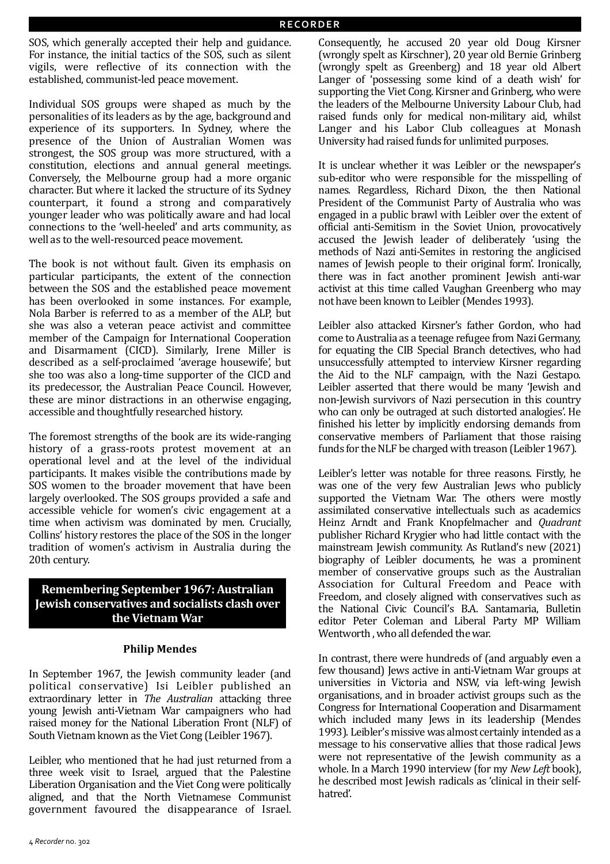SOS, which generally accepted their help and guidance. For instance, the initial tactics of the SOS, such as silent vigils, were reflective of its connection with the established, communist-led peace movement.

Individual SOS groups were shaped as much by the personalities of its leaders as by the age, background and experience of its supporters. In Sydney, where the presence of the Union of Australian Women was strongest, the SOS group was more structured, with a constitution, elections and annual general meetings. Conversely, the Melbourne group had a more organic character. But where it lacked the structure of its Svdnev counterpart, it found a strong and comparatively younger leader who was politically aware and had local connections to the 'well-heeled' and arts community, as well as to the well-resourced peace movement.

The book is not without fault. Given its emphasis on particular participants, the extent of the connection between the SOS and the established peace movement has been overlooked in some instances. For example, Nola Barber is referred to as a member of the ALP, but she was also a veteran peace activist and committee member of the Campaign for International Cooperation and Disarmament (CICD). Similarly, Irene Miller is described as a self-proclaimed 'average housewife', but she too was also a long-time supporter of the CICD and its predecessor, the Australian Peace Council. However, these are minor distractions in an otherwise engaging, accessible and thoughtfully researched history.

The foremost strengths of the book are its wide-ranging history of a grass-roots protest movement at an operational level and at the level of the individual participants. It makes visible the contributions made by SOS women to the broader movement that have been largely overlooked. The SOS groups provided a safe and accessible vehicle for women's civic engagement at a time when activism was dominated by men. Crucially, Collins' history restores the place of the SOS in the longer tradition of women's activism in Australia during the 20th century.

# **Remembering September 1967: Australian Jewish conservatives and socialists clash over the Vietnam War**

## **Philip Mendes**

In September 1967, the Jewish community leader (and political conservative) Isi Leibler published an extraordinary letter in *The Australian* attacking three young Jewish anti-Vietnam War campaigners who had raised money for the National Liberation Front (NLF) of South Vietnam known as the Viet Cong (Leibler 1967).

Leibler, who mentioned that he had just returned from a three week visit to Israel, argued that the Palestine Liberation Organisation and the Viet Cong were politically aligned, and that the North Vietnamese Communist government favoured the disappearance of Israel.

Consequently, he accused 20 year old Doug Kirsner (wrongly spelt as Kirschner), 20 year old Bernie Grinberg (wrongly spelt as Greenberg) and 18 year old Albert Langer of 'possessing some kind of a death wish' for supporting the Viet Cong. Kirsner and Grinberg, who were the leaders of the Melbourne University Labour Club, had raised funds only for medical non-military aid, whilst Langer and his Labor Club colleagues at Monash University had raised funds for unlimited purposes.

It is unclear whether it was Leibler or the newspaper's sub-editor who were responsible for the misspelling of names. Regardless, Richard Dixon, the then National President of the Communist Party of Australia who was engaged in a public brawl with Leibler over the extent of official anti-Semitism in the Soviet Union, provocatively accused the Jewish leader of deliberately 'using the methods of Nazi anti-Semites in restoring the anglicised names of Jewish people to their original form'. Ironically, there was in fact another prominent Jewish anti-war activist at this time called Vaughan Greenberg who may not have been known to Leibler (Mendes 1993).

Leibler also attacked Kirsner's father Gordon, who had come to Australia as a teenage refugee from Nazi Germany, for equating the CIB Special Branch detectives, who had unsuccessfully attempted to interview Kirsner regarding the Aid to the NLF campaign, with the Nazi Gestapo. Leibler asserted that there would be many 'Jewish and non-Jewish survivors of Nazi persecution in this country who can only be outraged at such distorted analogies'. He finished his letter by implicitly endorsing demands from conservative members of Parliament that those raising funds for the NLF be charged with treason (Leibler  $1967$ ).

Leibler's letter was notable for three reasons. Firstly, he was one of the very few Australian Jews who publicly supported the Vietnam War. The others were mostly assimilated conservative intellectuals such as academics Heinz Arndt and Frank Knopfelmacher and *Quadrant* publisher Richard Krygier who had little contact with the mainstream Iewish community. As Rutland's new (2021) biography of Leibler documents, he was a prominent member of conservative groups such as the Australian Association for Cultural Freedom and Peace with Freedom, and closely aligned with conservatives such as the National Civic Council's B.A. Santamaria, Bulletin editor Peter Coleman and Liberal Party MP William Wentworth , who all defended the war.

In contrast, there were hundreds of (and arguably even a few thousand) Jews active in anti-Vietnam War groups at universities in Victoria and NSW, via left-wing Jewish organisations, and in broader activist groups such as the Congress for International Cooperation and Disarmament which included many lews in its leadership (Mendes 1993). Leibler's missive was almost certainly intended as a message to his conservative allies that those radical Jews were not representative of the Jewish community as a whole. In a March 1990 interview (for my *New Left* book), he described most lewish radicals as 'clinical in their selfhatred'.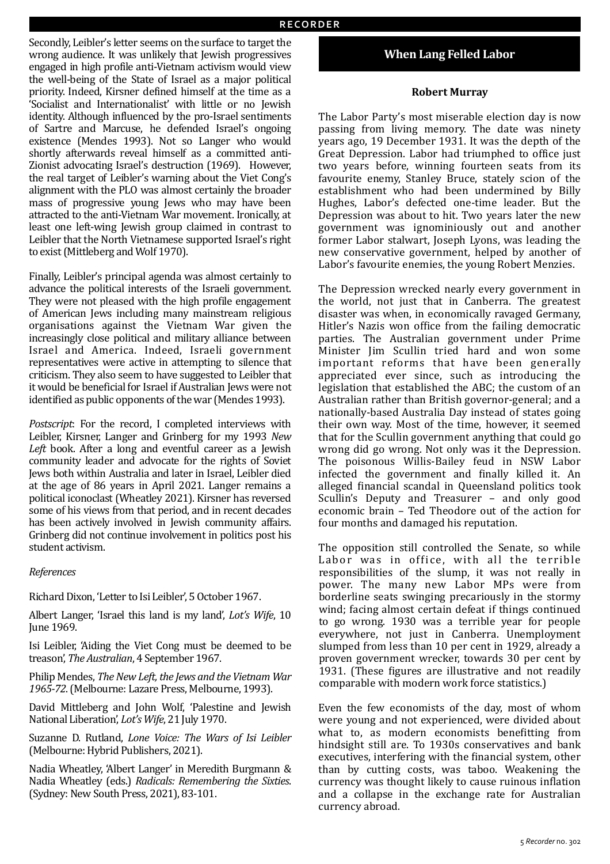Secondly, Leibler's letter seems on the surface to target the wrong audience. It was unlikely that Jewish progressives engaged in high profile anti-Vietnam activism would view the well-being of the State of Israel as a major political priority. Indeed, Kirsner defined himself at the time as a 'Socialist and Internationalist' with little or no Jewish identity. Although influenced by the pro-Israel sentiments of Sartre and Marcuse, he defended Israel's ongoing existence (Mendes 1993). Not so Langer who would shortly afterwards reveal himself as a committed anti-Zionist advocating Israel's destruction (1969). However, the real target of Leibler's warning about the Viet Cong's alignment with the PLO was almost certainly the broader mass of progressive young Jews who may have been attracted to the anti-Vietnam War movement. Ironically, at least one left-wing Jewish group claimed in contrast to Leibler that the North Vietnamese supported Israel's right to exist (Mittleberg and Wolf 1970).

Finally, Leibler's principal agenda was almost certainly to advance the political interests of the Israeli government. They were not pleased with the high profile engagement of American Jews including many mainstream religious organisations against the Vietnam War given the increasingly close political and military alliance between Israel and America. Indeed, Israeli government representatives were active in attempting to silence that criticism. They also seem to have suggested to Leibler that it would be beneficial for Israel if Australian Jews were not identified as public opponents of the war (Mendes 1993).

Postscript: For the record, I completed interviews with Leibler, Kirsner, Langer and Grinberg for my 1993 New Left book. After a long and eventful career as a Jewish community leader and advocate for the rights of Soviet Jews both within Australia and later in Israel, Leibler died at the age of 86 years in April 2021. Langer remains a political iconoclast (Wheatley 2021). Kirsner has reversed some of his views from that period, and in recent decades has been actively involved in Jewish community affairs. Grinberg did not continue involvement in politics post his student activism.

#### *References*

Richard Dixon, 'Letter to Isi Leibler', 5 October 1967.

Albert Langer, 'Israel this land is my land', *Lot's Wife*, 10 **Iune 1969.** 

Isi Leibler, 'Aiding the Viet Cong must be deemed to be treason', *The Australian*, 4 September 1967.

Philip Mendes, *The New Left, the Jews and the Vietnam War* 1965-72. (Melbourne: Lazare Press, Melbourne, 1993).

David Mittleberg and John Wolf, 'Palestine and Jewish National Liberation', *Lot's Wife*, 21 July 1970.

Suzanne D. Rutland, *Lone Voice: The Wars of Isi Leibler* (Melbourne: Hybrid Publishers, 2021).

Nadia Wheatley, 'Albert Langer' in Meredith Burgmann & Nadia Wheatley (eds.) *Radicals: Remembering the Sixties*. (Sydney: New South Press, 2021), 83-101.

# **When Lang Felled Labor**

#### **Robert Murray**

The Labor Party's most miserable election day is now passing from living memory. The date was ninety years ago, 19 December 1931. It was the depth of the Great Depression. Labor had triumphed to office just two years before, winning fourteen seats from its favourite enemy, Stanley Bruce, stately scion of the establishment who had been undermined by Billy Hughes, Labor's defected one-time leader. But the Depression was about to hit. Two years later the new government was ignominiously out and another former Labor stalwart, Joseph Lyons, was leading the new conservative government, helped by another of Labor's favourite enemies, the young Robert Menzies.

The Depression wrecked nearly every government in the world, not just that in Canberra. The greatest disaster was when, in economically ravaged Germany, Hitler's Nazis won office from the failing democratic parties. The Australian government under Prime Minister Jim Scullin tried hard and won some important reforms that have been generally appreciated ever since, such as introducing the legislation that established the ABC; the custom of an Australian rather than British governor-general; and a nationally-based Australia Day instead of states going their own way. Most of the time, however, it seemed that for the Scullin government anything that could go wrong did go wrong. Not only was it the Depression. The poisonous Willis-Bailey feud in NSW Labor infected the government and finally killed it. An alleged financial scandal in Queensland politics took Scullin's Deputy and Treasurer - and only good economic brain - Ted Theodore out of the action for four months and damaged his reputation.

The opposition still controlled the Senate, so while Labor was in office, with all the terrible responsibilities of the slump, it was not really in power. The many new Labor MPs were from borderline seats swinging precariously in the stormy wind; facing almost certain defeat if things continued to go wrong. 1930 was a terrible year for people everywhere, not just in Canberra. Unemployment slumped from less than 10 per cent in 1929, already a proven government wrecker, towards 30 per cent by 1931. (These figures are illustrative and not readily comparable with modern work force statistics.)

Even the few economists of the day, most of whom were young and not experienced, were divided about what to, as modern economists benefitting from hindsight still are. To 1930s conservatives and bank executives, interfering with the financial system, other than by cutting costs, was taboo. Weakening the currency was thought likely to cause ruinous inflation and a collapse in the exchange rate for Australian currency abroad.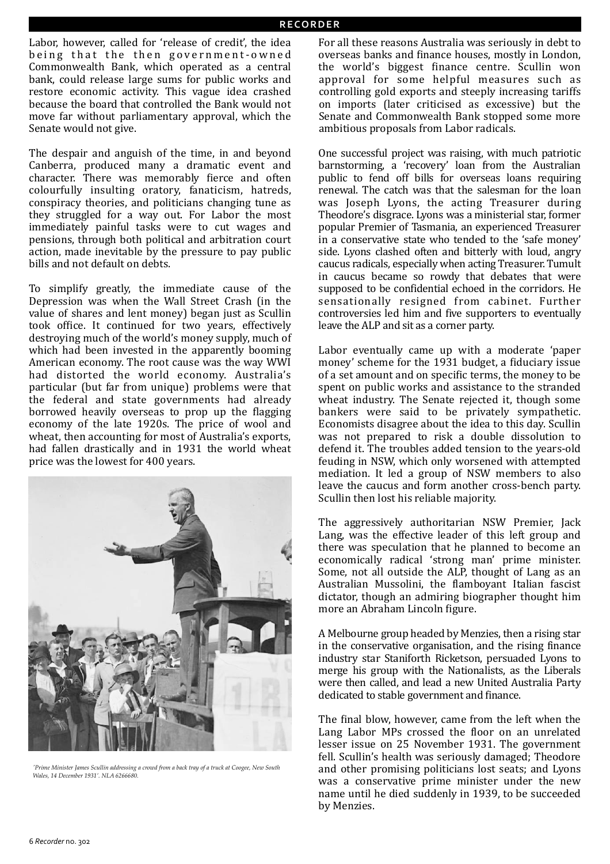Labor, however, called for 'release of credit', the idea being that the then government-owned Commonwealth Bank, which operated as a central bank, could release large sums for public works and restore economic activity. This vague idea crashed because the board that controlled the Bank would not move far without parliamentary approval, which the Senate would not give.

The despair and anguish of the time, in and beyond Canberra, produced many a dramatic event and character. There was memorably fierce and often colourfully insulting oratory, fanaticism, hatreds, conspiracy theories, and politicians changing tune as they struggled for a way out. For Labor the most immediately painful tasks were to cut wages and pensions, through both political and arbitration court action, made inevitable by the pressure to pay public bills and not default on debts.

To simplify greatly, the immediate cause of the Depression was when the Wall Street Crash (in the value of shares and lent money) began just as Scullin took office. It continued for two years, effectively destroying much of the world's money supply, much of which had been invested in the apparently booming American economy. The root cause was the way WWI had distorted the world economy. Australia's particular (but far from unique) problems were that the federal and state governments had already borrowed heavily overseas to prop up the flagging economy of the late 1920s. The price of wool and wheat, then accounting for most of Australia's exports, had fallen drastically and in 1931 the world wheat price was the lowest for 400 years.



*'Prime Minister James Scullin addressing a crowd from a back tray of a truck at Coogee, New South Wales, 14 December 1931'. NLA 6266680.*

For all these reasons Australia was seriously in debt to overseas banks and finance houses, mostly in London, the world's biggest finance centre. Scullin won approval for some helpful measures such as controlling gold exports and steeply increasing tariffs on imports (later criticised as excessive) but the Senate and Commonwealth Bank stopped some more ambitious proposals from Labor radicals.

One successful project was raising, with much patriotic barnstorming, a 'recovery' loan from the Australian public to fend off bills for overseas loans requiring renewal. The catch was that the salesman for the loan was Joseph Lyons, the acting Treasurer during Theodore's disgrace. Lyons was a ministerial star, former popular Premier of Tasmania, an experienced Treasurer in a conservative state who tended to the 'safe money' side. Lyons clashed often and bitterly with loud, angry caucus radicals, especially when acting Treasurer. Tumult in caucus became so rowdy that debates that were supposed to be confidential echoed in the corridors. He sensationally resigned from cabinet. Further controversies led him and five supporters to eventually leave the ALP and sit as a corner party.

Labor eventually came up with a moderate 'paper money' scheme for the 1931 budget, a fiduciary issue of a set amount and on specific terms, the money to be spent on public works and assistance to the stranded wheat industry. The Senate rejected it, though some bankers were said to be privately sympathetic. Economists disagree about the idea to this day. Scullin was not prepared to risk a double dissolution to defend it. The troubles added tension to the years-old feuding in NSW, which only worsened with attempted mediation. It led a group of NSW members to also leave the caucus and form another cross-bench party. Scullin then lost his reliable majority.

The aggressively authoritarian NSW Premier, Jack Lang, was the effective leader of this left group and there was speculation that he planned to become an economically radical 'strong man' prime minister. Some, not all outside the ALP, thought of Lang as an Australian Mussolini, the flamboyant Italian fascist dictator, though an admiring biographer thought him more an Abraham Lincoln figure.

A Melbourne group headed by Menzies, then a rising star in the conservative organisation, and the rising finance industry star Staniforth Ricketson, persuaded Lyons to merge his group with the Nationalists, as the Liberals were then called, and lead a new United Australia Party dedicated to stable government and finance.

The final blow, however, came from the left when the Lang Labor MPs crossed the floor on an unrelated lesser issue on 25 November 1931. The government fell. Scullin's health was seriously damaged; Theodore and other promising politicians lost seats; and Lyons was a conservative prime minister under the new name until he died suddenly in 1939, to be succeeded by Menzies.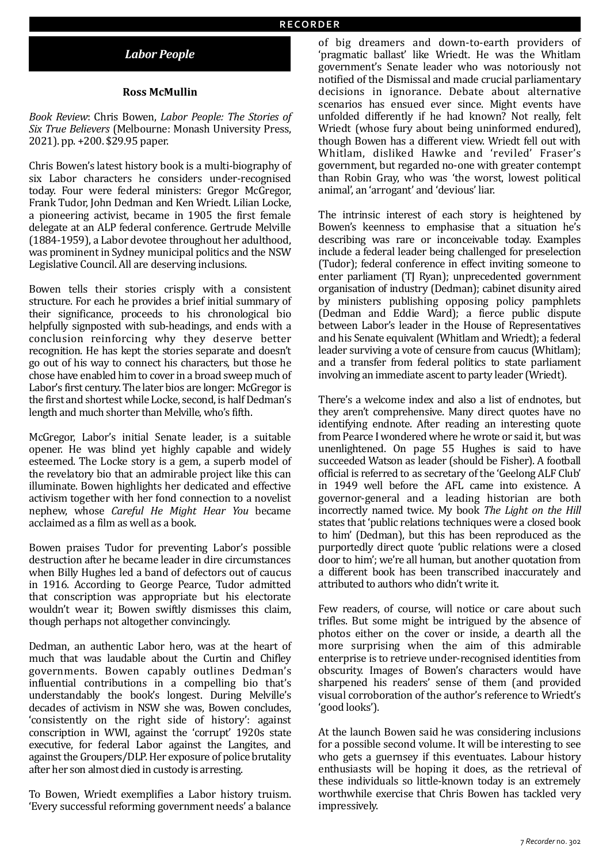## *Labor People*

#### **Ross McMullin**

*Book Review: Chris Bowen, Labor People: The Stories of Six True Believers* (Melbourne: Monash University Press, 2021). pp. +200. \$29.95 paper.

Chris Bowen's latest history book is a multi-biography of six Labor characters he considers under-recognised today. Four were federal ministers: Gregor McGregor, Frank Tudor, John Dedman and Ken Wriedt. Lilian Locke, a pioneering activist, became in 1905 the first female delegate at an ALP federal conference. Gertrude Melville (1884-1959), a Labor devotee throughout her adulthood, was prominent in Sydney municipal politics and the NSW Legislative Council. All are deserving inclusions.

Bowen tells their stories crisply with a consistent structure. For each he provides a brief initial summary of their significance, proceeds to his chronological bio helpfully signposted with sub-headings, and ends with a conclusion reinforcing why they deserve better recognition. He has kept the stories separate and doesn't go out of his way to connect his characters, but those he chose have enabled him to cover in a broad sweep much of Labor's first century. The later bios are longer: McGregor is the first and shortest while Locke, second, is half Dedman's length and much shorter than Melville, who's fifth.

McGregor, Labor's initial Senate leader, is a suitable opener. He was blind yet highly capable and widely esteemed. The Locke story is a gem, a superb model of the revelatory bio that an admirable project like this can illuminate. Bowen highlights her dedicated and effective activism together with her fond connection to a novelist nephew, whose *Careful He Might Hear You* became acclaimed as a film as well as a book.

Bowen praises Tudor for preventing Labor's possible destruction after he became leader in dire circumstances when Billy Hughes led a band of defectors out of caucus in 1916. According to George Pearce, Tudor admitted that conscription was appropriate but his electorate wouldn't wear it; Bowen swiftly dismisses this claim, though perhaps not altogether convincingly.

Dedman, an authentic Labor hero, was at the heart of much that was laudable about the Curtin and Chifley governments. Bowen capably outlines Dedman's influential contributions in a compelling bio that's understandably the book's longest. During Melville's decades of activism in NSW she was, Bowen concludes, 'consistently on the right side of history': against conscription in WWI, against the 'corrupt' 1920s state executive, for federal Labor against the Langites, and against the Groupers/DLP. Her exposure of police brutality after her son almost died in custody is arresting.

To Bowen, Wriedt exemplifies a Labor history truism. 'Every successful reforming government needs' a balance

of big dreamers and down-to-earth providers of 'pragmatic ballast' like Wriedt. He was the Whitlam government's Senate leader who was notoriously not notified of the Dismissal and made crucial parliamentary decisions in ignorance. Debate about alternative scenarios has ensued ever since. Might events have unfolded differently if he had known? Not really, felt Wriedt (whose fury about being uninformed endured), though Bowen has a different view. Wriedt fell out with Whitlam, disliked Hawke and 'reviled' Fraser's government, but regarded no-one with greater contempt than Robin Gray, who was 'the worst, lowest political animal', an 'arrogant' and 'devious' liar.

The intrinsic interest of each story is heightened by Bowen's keenness to emphasise that a situation he's describing was rare or inconceivable today. Examples include a federal leader being challenged for preselection (Tudor); federal conference in effect inviting someone to enter parliament (TJ Ryan); unprecedented government organisation of industry (Dedman); cabinet disunity aired by ministers publishing opposing policy pamphlets (Dedman and Eddie Ward); a fierce public dispute between Labor's leader in the House of Representatives and his Senate equivalent (Whitlam and Wriedt); a federal leader surviving a vote of censure from caucus (Whitlam); and a transfer from federal politics to state parliament involving an immediate ascent to party leader (Wriedt).

There's a welcome index and also a list of endnotes, but they aren't comprehensive. Many direct quotes have no identifying endnote. After reading an interesting quote from Pearce I wondered where he wrote or said it, but was unenlightened. On page 55 Hughes is said to have succeeded Watson as leader (should be Fisher). A football official is referred to as secretary of the 'Geelong ALF Club' in 1949 well before the AFL came into existence. A governor-general and a leading historian are both incorrectly named twice. My book *The Light on the Hill* states that 'public relations techniques were a closed book to him' (Dedman), but this has been reproduced as the purportedly direct quote 'public relations were a closed door to him'; we're all human, but another quotation from a different book has been transcribed inaccurately and attributed to authors who didn't write it.

Few readers, of course, will notice or care about such trifles. But some might be intrigued by the absence of photos either on the cover or inside, a dearth all the more surprising when the aim of this admirable enterprise is to retrieve under-recognised identities from obscurity. Images of Bowen's characters would have sharpened his readers' sense of them (and provided visual corroboration of the author's reference to Wriedt's 'good looks').

At the launch Bowen said he was considering inclusions for a possible second volume. It will be interesting to see who gets a guernsey if this eventuates. Labour history enthusiasts will be hoping it does, as the retrieval of these individuals so little-known today is an extremely worthwhile exercise that Chris Bowen has tackled very impressively.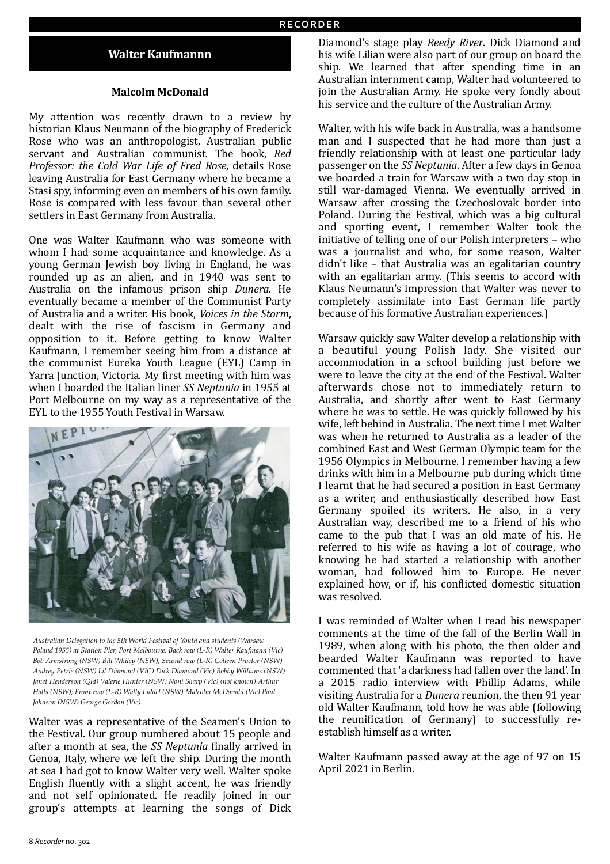## **Walter Kaufmannn**

#### **Malcolm McDonald**

My attention was recently drawn to a review by historian Klaus Neumann of the biography of Frederick Rose who was an anthropologist, Australian public servant and Australian communist. The book, Red *Professor: the Cold War Life of Fred Rose*, details Rose leaving Australia for East Germany where he became a Stasi spy, informing even on members of his own family. Rose is compared with less favour than several other settlers in East Germany from Australia.

One was Walter Kaufmann who was someone with whom I had some acquaintance and knowledge. As a young German Jewish boy living in England, he was rounded up as an alien, and in 1940 was sent to Australia on the infamous prison ship Dunera. He eventually became a member of the Communist Party of Australia and a writer. His book, *Voices in the Storm*, dealt with the rise of fascism in Germany and opposition to it. Before getting to know Walter Kaufmann, I remember seeing him from a distance at the communist Eureka Youth League (EYL) Camp in Yarra Junction, Victoria. My first meeting with him was when I boarded the Italian liner *SS Neptunia* in 1955 at Port Melbourne on my way as a representative of the EYL to the 1955 Youth Festival in Warsaw.



*Australian Delegation to the 5th World Festival of Youth and students (Warsaw Poland 1955) at Station Pier, Port Melbourne. Back row (L-R) Walter Kaufmann (Vic) Bob Armstrong (NSW) Bill Whiley (NSW); Second row (L-R) Colleen Proctor (NSW) Audrey Petrie (NSW) Lil Diamond (VIC) Dick Diamond (Vic) Bobby Williams (NSW) Janet Henderson (Qld) Valerie Hunter (NSW) Noni Sharp (Vic) (not known) Arthur Halls (NSW); Front row (L-R) Wally Liddel (NSW) Malcolm McDonald (Vic) Paul Johnson (NSW) George Gordon (Vic).*

Walter was a representative of the Seamen's Union to the Festival. Our group numbered about 15 people and after a month at sea, the *SS Neptunia* finally arrived in Genoa, Italy, where we left the ship. During the month at sea I had got to know Walter very well. Walter spoke English fluently with a slight accent, he was friendly and not self opinionated. He readily joined in our group's attempts at learning the songs of Dick

Diamond's stage play *Reedy River*. Dick Diamond and his wife Lilian were also part of our group on board the ship. We learned that after spending time in an Australian internment camp, Walter had volunteered to join the Australian Army. He spoke very fondly about his service and the culture of the Australian Army.

Walter, with his wife back in Australia, was a handsome man and I suspected that he had more than just a friendly relationship with at least one particular lady passenger on the *SS Neptunia*. After a few days in Genoa we boarded a train for Warsaw with a two day stop in still war-damaged Vienna. We eventually arrived in Warsaw after crossing the Czechoslovak border into Poland. During the Festival, which was a big cultural and sporting event, I remember Walter took the initiative of telling one of our Polish interpreters – who was a journalist and who, for some reason, Walter didn't like - that Australia was an egalitarian country with an egalitarian army. (This seems to accord with Klaus Neumann's impression that Walter was never to completely assimilate into East German life partly because of his formative Australian experiences.)

Warsaw quickly saw Walter develop a relationship with a beautiful young Polish lady. She visited our accommodation in a school building just before we were to leave the city at the end of the Festival. Walter afterwards chose not to immediately return to Australia, and shortly after went to East Germany where he was to settle. He was quickly followed by his wife, left behind in Australia. The next time I met Walter was when he returned to Australia as a leader of the combined East and West German Olympic team for the 1956 Olympics in Melbourne. I remember having a few drinks with him in a Melbourne pub during which time I learnt that he had secured a position in East Germany as a writer, and enthusiastically described how East Germany spoiled its writers. He also, in a very Australian way, described me to a friend of his who came to the pub that I was an old mate of his. He referred to his wife as having a lot of courage, who knowing he had started a relationship with another woman, had followed him to Europe. He never explained how, or if, his conflicted domestic situation was resolved.

I was reminded of Walter when I read his newspaper comments at the time of the fall of the Berlin Wall in 1989, when along with his photo, the then older and bearded Walter Kaufmann was reported to have commented that 'a darkness had fallen over the land'. In a 2015 radio interview with Phillip Adams, while visiting Australia for a *Dunera* reunion, the then 91 year old Walter Kaufmann, told how he was able (following the reunification of  $Germanv$  to successfully reestablish himself as a writer.

Walter Kaufmann passed away at the age of 97 on 15 April 2021 in Berlin.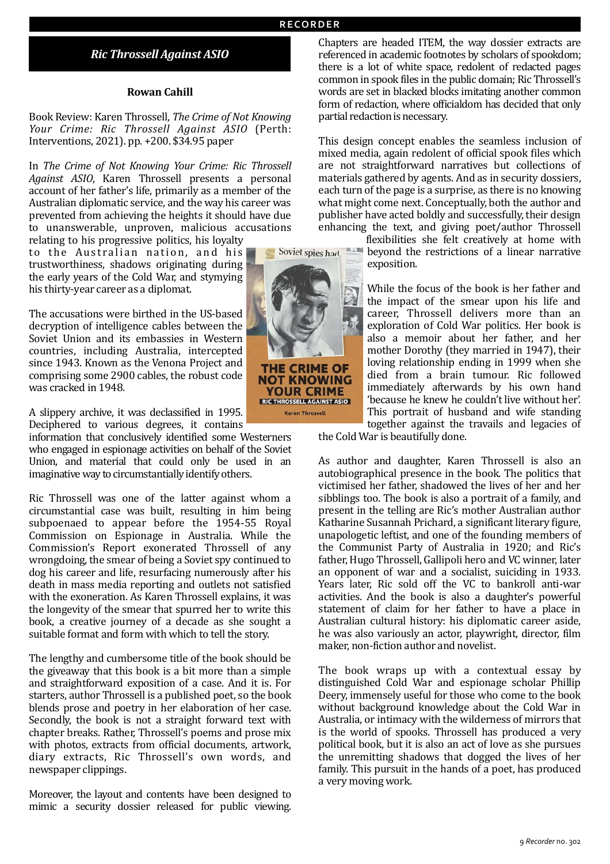# *Ric Throssell Against ASIO*

#### **Rowan Cahill**

Book Review: Karen Throssell, *The Crime of Not Knowing Your Crime: Ric Throssell Against ASIO*  (Perth: Interventions, 2021). pp. +200. \$34.95 paper

In *The Crime of Not Knowing Your Crime: Ric Throssell* Against ASIO, Karen Throssell presents a personal account of her father's life, primarily as a member of the Australian diplomatic service, and the way his career was prevented from achieving the heights it should have due to unanswerable, unproven, malicious accusations

relating to his progressive politics, his loyalty to the Australian nation, and his trustworthiness, shadows originating during the early years of the Cold War, and stymying his thirty-year career as a diplomat.

The accusations were birthed in the US-based decryption of intelligence cables between the Soviet Union and its embassies in Western countries, including Australia, intercepted since 1943. Known as the Venona Project and comprising some 2900 cables, the robust code was cracked in 1948.

A slippery archive, it was declassified in 1995. Deciphered to various degrees, it contains

information that conclusively identified some Westerners who engaged in espionage activities on behalf of the Soviet Union, and material that could only be used in an imaginative way to circumstantially identify others.

Ric Throssell was one of the latter against whom a circumstantial case was built, resulting in him being subpoenaed to appear before the 1954-55 Royal Commission on Espionage in Australia. While the Commission's Report exonerated Throssell of any wrongdoing, the smear of being a Soviet spy continued to dog his career and life, resurfacing numerously after his death in mass media reporting and outlets not satisfied with the exoneration. As Karen Throssell explains, it was the longevity of the smear that spurred her to write this book, a creative journey of a decade as she sought a suitable format and form with which to tell the story.

The lengthy and cumbersome title of the book should be the giveaway that this book is a bit more than a simple and straightforward exposition of a case. And it is. For starters, author Throssell is a published poet, so the book blends prose and poetry in her elaboration of her case. Secondly, the book is not a straight forward text with chapter breaks. Rather, Throssell's poems and prose mix with photos, extracts from official documents, artwork, diary extracts, Ric Throssell's own words, and newspaper clippings.

Moreover, the layout and contents have been designed to mimic a security dossier released for public viewing.

Chapters are headed ITEM, the way dossier extracts are referenced in academic footnotes by scholars of spookdom; there is a lot of white space, redolent of redacted pages common in spook files in the public domain; Ric Throssell's words are set in blacked blocks imitating another common form of redaction, where officialdom has decided that only partial redaction is necessary.

This design concept enables the seamless inclusion of mixed media, again redolent of official spook files which are not straightforward narratives but collections of materials gathered by agents. And as in security dossiers, each turn of the page is a surprise, as there is no knowing what might come next. Conceptually, both the author and publisher have acted boldly and successfully, their design enhancing the text, and giving poet/author Throssell

> flexibilities she felt creatively at home with beyond the restrictions of a linear narrative exposition.

While the focus of the book is her father and the impact of the smear upon his life and career, Throssell delivers more than an exploration of Cold War politics. Her book is also a memoir about her father, and her mother Dorothy (they married in 1947), their loving relationship ending in 1999 when she died from a brain tumour. Ric followed immediately afterwards by his own hand 'because he knew he couldn't live without her'. This portrait of husband and wife standing together against the travails and legacies of

the Cold War is beautifully done.

As author and daughter, Karen Throssell is also an autobiographical presence in the book. The politics that victimised her father, shadowed the lives of her and her sibblings too. The book is also a portrait of a family, and present in the telling are Ric's mother Australian author Katharine Susannah Prichard, a significant literary figure, unapologetic leftist, and one of the founding members of the Communist Party of Australia in 1920; and Ric's father, Hugo Throssell, Gallipoli hero and VC winner, later an opponent of war and a socialist, suiciding in 1933. Years later, Ric sold off the VC to bankroll anti-war activities. And the book is also a daughter's powerful statement of claim for her father to have a place in Australian cultural history: his diplomatic career aside, he was also variously an actor, playwright, director, film maker, non-fiction author and novelist.

The book wraps up with a contextual essay by distinguished Cold War and espionage scholar Phillip Deery, immensely useful for those who come to the book without background knowledge about the Cold War in Australia, or intimacy with the wilderness of mirrors that is the world of spooks. Throssell has produced a very political book, but it is also an act of love as she pursues the unremitting shadows that dogged the lives of her family. This pursuit in the hands of a poet, has produced a very moving work.



Soviet spies had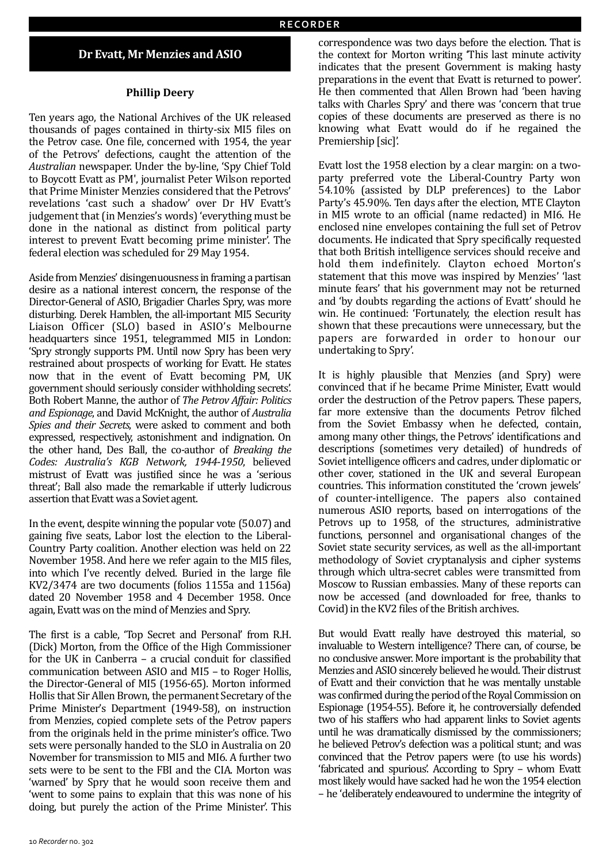## Dr Evatt, Mr Menzies and ASIO

#### **Phillip Deery**

Ten years ago, the National Archives of the UK released thousands of pages contained in thirty-six MI5 files on the Petrov case. One file, concerned with 1954, the year of the Petrovs' defections, caught the attention of the *Australian* newspaper. Under the by-line, 'Spy Chief Told to Boycott Evatt as PM', journalist Peter Wilson reported that Prime Minister Menzies considered that the Petrovs' revelations 'cast such a shadow' over Dr HV Evatt's judgement that (in Menzies's words) 'everything must be done in the national as distinct from political party interest to prevent Evatt becoming prime minister'. The federal election was scheduled for 29 May 1954.

Aside from Menzies' disingenuousness in framing a partisan desire as a national interest concern, the response of the Director-General of ASIO, Brigadier Charles Spry, was more disturbing. Derek Hamblen, the all-important MI5 Security Liaison Officer (SLO) based in ASIO's Melbourne headquarters since 1951, telegrammed MI5 in London: 'Spry strongly supports PM. Until now Spry has been very restrained about prospects of working for Evatt. He states now that in the event of Evatt becoming PM, UK government should seriously consider withholding secrets'. Both Robert Manne, the author of *The Petrov Affair: Politics* and *Espionage*, and David McKnight, the author of *Australia Spies and their Secrets*, were asked to comment and both expressed, respectively, astonishment and indignation. On the other hand, Des Ball, the co-author of *Breaking the Codes: Australia's KGB Network, 1944-1950*, believed mistrust of Evatt was justified since he was a 'serious threat': Ball also made the remarkable if utterly ludicrous assertion that Evatt was a Soviet agent.

In the event, despite winning the popular vote (50.07) and gaining five seats, Labor lost the election to the Liberal-Country Party coalition. Another election was held on 22 November 1958. And here we refer again to the MI5 files, into which I've recently delved. Buried in the large file KV2/3474 are two documents (folios 1155a and 1156a) dated 20 November 1958 and 4 December 1958. Once again, Evatt was on the mind of Menzies and Spry.

The first is a cable, 'Top Secret and Personal' from R.H. (Dick) Morton, from the Office of the High Commissioner for the UK in Canberra  $-$  a crucial conduit for classified communication between ASIO and MI5 - to Roger Hollis, the Director-General of MI5 (1956-65). Morton informed Hollis that Sir Allen Brown, the permanent Secretary of the Prime Minister's Department (1949-58), on instruction from Menzies, copied complete sets of the Petrov papers from the originals held in the prime minister's office. Two sets were personally handed to the SLO in Australia on 20 November for transmission to MI5 and MI6. A further two sets were to be sent to the FBI and the CIA. Morton was 'warned' by Spry that he would soon receive them and 'went to some pains to explain that this was none of his doing, but purely the action of the Prime Minister'. This

correspondence was two days before the election. That is the context for Morton writing 'This last minute activity indicates that the present Government is making hasty preparations in the event that Evatt is returned to power'. He then commented that Allen Brown had 'been having talks with Charles Spry' and there was 'concern that true copies of these documents are preserved as there is no knowing what Evatt would do if he regained the Premiership [sic]'.

Evatt lost the 1958 election by a clear margin: on a twoparty preferred vote the Liberal-Country Party won 54.10% (assisted by DLP preferences) to the Labor Party's 45.90%. Ten days after the election, MTE Clayton in MI5 wrote to an official (name redacted) in MI6. He enclosed nine envelopes containing the full set of Petrov documents. He indicated that Spry specifically requested that both British intelligence services should receive and hold them indefinitely. Clayton echoed Morton's statement that this move was inspired by Menzies' 'last minute fears' that his government may not be returned and 'by doubts regarding the actions of Evatt' should he win. He continued: 'Fortunately, the election result has shown that these precautions were unnecessary, but the papers are forwarded in order to honour our undertaking to Spry'.

It is highly plausible that Menzies (and Spry) were convinced that if he became Prime Minister, Evatt would order the destruction of the Petrov papers. These papers, far more extensive than the documents Petrov filched from the Soviet Embassy when he defected, contain, among many other things, the Petrovs' identifications and descriptions (sometimes very detailed) of hundreds of Soviet intelligence officers and cadres, under diplomatic or other cover, stationed in the UK and several European countries. This information constituted the 'crown jewels' of counter-intelligence. The papers also contained numerous ASIO reports, based on interrogations of the Petrovs up to 1958, of the structures, administrative functions, personnel and organisational changes of the Soviet state security services, as well as the all-important methodology of Soviet cryptanalysis and cipher systems through which ultra-secret cables were transmitted from Moscow to Russian embassies. Many of these reports can now be accessed (and downloaded for free, thanks to Covid) in the KV2 files of the British archives.

But would Evatt really have destroyed this material, so invaluable to Western intelligence? There can, of course, be no conclusive answer. More important is the probability that Menzies and ASIO sincerely believed he would. Their distrust of Evatt and their conviction that he was mentally unstable was confirmed during the period of the Royal Commission on Espionage (1954-55). Before it, he controversially defended two of his staffers who had apparent links to Soviet agents until he was dramatically dismissed by the commissioners: he believed Petrov's defection was a political stunt; and was convinced that the Petrov papers were (to use his words) 'fabricated and spurious'. According to Spry – whom Evatt most likely would have sacked had he won the 1954 election – he 'deliberately endeavoured to undermine the integrity of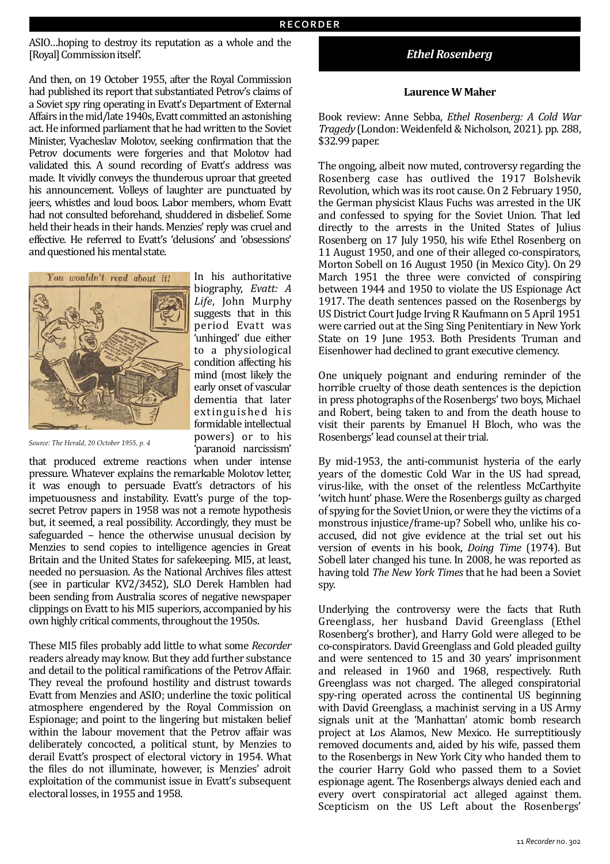ASIO...hoping to destroy its reputation as a whole and the [Royal] Commission itself'.

And then, on 19 October 1955, after the Royal Commission had published its report that substantiated Petrov's claims of a Soviet spy ring operating in Evatt's Department of External Affairs in the mid/late 1940s, Evatt committed an astonishing act. He informed parliament that he had written to the Soviet Minister, Vyacheslav Molotov, seeking confirmation that the Petrov documents were forgeries and that Molotov had validated this. A sound recording of Evatt's address was made. It vividly conveys the thunderous uproar that greeted his announcement. Volleys of laughter are punctuated by jeers, whistles and loud boos. Labor members, whom Evatt had not consulted beforehand, shuddered in disbelief. Some held their heads in their hands. Menzies' reply was cruel and effective. He referred to Evatt's 'delusions' and 'obsessions' and questioned his mental state.



biography, *Evatt: A* Life, John Murphy suggests that in this period Evatt was 'unhinged' due either to a physiological condition affecting his mind (most likely the early onset of vascular dementia that later ex tinguished his formidable intellectual powers) or to his 'paranoid narcissism' 

*Source: The Herald, 20 October 1955, p. 4*

that produced extreme reactions when under intense pressure. Whatever explains the remarkable Molotov letter, it was enough to persuade Evatt's detractors of his impetuousness and instability. Evatt's purge of the topsecret Petrov papers in 1958 was not a remote hypothesis but, it seemed, a real possibility. Accordingly, they must be safeguarded – hence the otherwise unusual decision by Menzies to send copies to intelligence agencies in Great Britain and the United States for safekeeping. MI5, at least, needed no persuasion. As the National Archives files attest (see in particular KV2/3452), SLO Derek Hamblen had been sending from Australia scores of negative newspaper clippings on Evatt to his MI5 superiors, accompanied by his own highly critical comments, throughout the 1950s.

These MI5 files probably add little to what some *Recorder* readers already may know. But they add further substance and detail to the political ramifications of the Petrov Affair. They reveal the profound hostility and distrust towards Evatt from Menzies and ASIO; underline the toxic political atmosphere engendered by the Royal Commission on Espionage; and point to the lingering but mistaken belief within the labour movement that the Petrov affair was deliberately concocted, a political stunt, by Menzies to derail Evatt's prospect of electoral victory in 1954. What the files do not illuminate, however, is Menzies' adroit exploitation of the communist issue in Evatt's subsequent electoral losses, in 1955 and 1958.

## *Ethel Rosenberg*

#### **Laurence W Maher**

Book review: Anne Sebba, *Ethel Rosenberg: A Cold War Tragedy* (London: Weidenfeld & Nicholson, 2021). pp. 288, \$32.99 paper.

The ongoing, albeit now muted, controversy regarding the Rosenberg case has outlived the 1917 Bolshevik Revolution, which was its root cause. On 2 February 1950, the German physicist Klaus Fuchs was arrested in the UK and confessed to spying for the Soviet Union. That led directly to the arrests in the United States of Julius Rosenberg on 17 July 1950, his wife Ethel Rosenberg on 11 August 1950, and one of their alleged co-conspirators, Morton Sobell on 16 August 1950 (in Mexico City). On 29 March 1951 the three were convicted of conspiring between 1944 and 1950 to violate the US Espionage Act 1917. The death sentences passed on the Rosenbergs by US District Court Judge Irving R Kaufmann on 5 April 1951 were carried out at the Sing Sing Penitentiary in New York State on 19 June 1953. Both Presidents Truman and Eisenhower had declined to grant executive clemency.

One uniquely poignant and enduring reminder of the horrible cruelty of those death sentences is the depiction in press photographs of the Rosenbergs' two boys, Michael and Robert, being taken to and from the death house to visit their parents by Emanuel H Bloch, who was the Rosenbergs' lead counsel at their trial.

By mid-1953, the anti-communist hysteria of the early years of the domestic Cold War in the US had spread, virus-like, with the onset of the relentless McCarthyite 'witch hunt' phase. Were the Rosenbergs guilty as charged of spying for the Soviet Union, or were they the victims of a monstrous injustice/frame-up? Sobell who, unlike his coaccused, did not give evidence at the trial set out his version of events in his book, *Doing Time* (1974). But Sobell later changed his tune. In 2008, he was reported as having told *The New York Times* that he had been a Soviet spy.

Underlying the controversy were the facts that Ruth Greenglass, her husband David Greenglass (Ethel Rosenberg's brother), and Harry Gold were alleged to be co-conspirators. David Greenglass and Gold pleaded guilty and were sentenced to 15 and 30 years' imprisonment and released in 1960 and 1968, respectively. Ruth Greenglass was not charged. The alleged conspiratorial spy-ring operated across the continental US beginning with David Greenglass, a machinist serving in a US Army signals unit at the 'Manhattan' atomic bomb research project at Los Alamos, New Mexico. He surreptitiously removed documents and, aided by his wife, passed them to the Rosenbergs in New York City who handed them to the courier Harry Gold who passed them to a Soviet espionage agent. The Rosenbergs always denied each and every overt conspiratorial act alleged against them. Scepticism on the US Left about the Rosenbergs'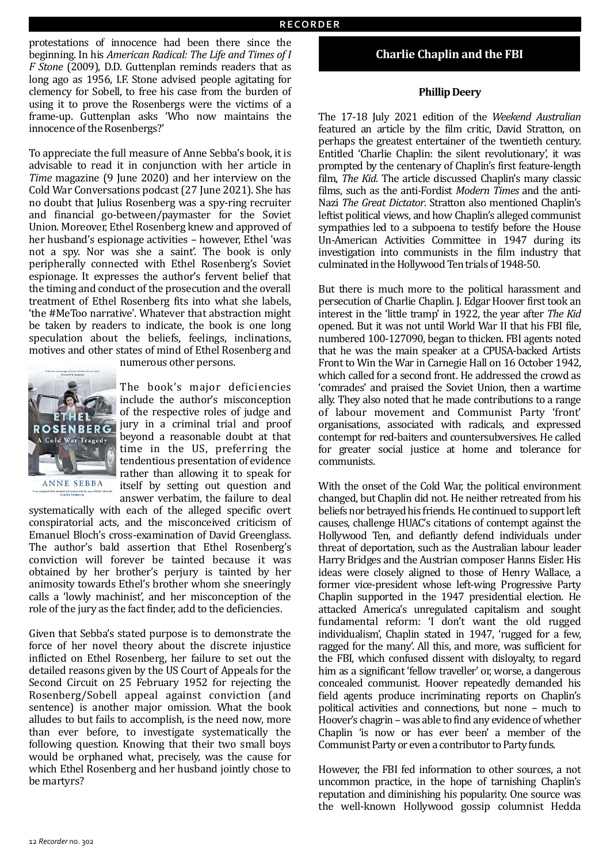protestations of innocence had been there since the beginning. In his *American Radical: The Life and Times of I F* Stone (2009), D.D. Guttenplan reminds readers that as long ago as 1956, I.F. Stone advised people agitating for clemency for Sobell, to free his case from the burden of using it to prove the Rosenbergs were the victims of a frame-up. Guttenplan asks 'Who now maintains the innocence of the Rosenbergs?'

To appreciate the full measure of Anne Sebba's book, it is advisable to read it in conjunction with her article in *Time* magazine (9 June 2020) and her interview on the Cold War Conversations podcast (27 June 2021). She has no doubt that Julius Rosenberg was a spy-ring recruiter and financial go-between/paymaster for the Soviet Union. Moreover, Ethel Rosenberg knew and approved of her husband's espionage activities – however, Ethel 'was not a spy. Nor was she a saint'. The book is only peripherally connected with Ethel Rosenberg's Soviet espionage. It expresses the author's fervent belief that the timing and conduct of the prosecution and the overall treatment of Ethel Rosenberg fits into what she labels, 'the #MeToo narrative'. Whatever that abstraction might be taken by readers to indicate, the book is one long speculation about the beliefs, feelings, inclinations, motives and other states of mind of Ethel Rosenberg and



numerous other persons.

The book's major deficiencies include the author's misconception of the respective roles of judge and jury in a criminal trial and proof beyond a reasonable doubt at that time in the US, preferring the tendentious presentation of evidence rather than allowing it to speak for itself by setting out question and answer verbatim, the failure to deal

systematically with each of the alleged specific overt conspiratorial acts, and the misconceived criticism of Emanuel Bloch's cross-examination of David Greenglass. The author's bald assertion that Ethel Rosenberg's conviction will forever be tainted because it was obtained by her brother's perjury is tainted by her animosity towards Ethel's brother whom she sneeringly calls a 'lowly machinist', and her misconception of the role of the jury as the fact finder, add to the deficiencies.

Given that Sebba's stated purpose is to demonstrate the force of her novel theory about the discrete injustice inflicted on Ethel Rosenberg, her failure to set out the detailed reasons given by the US Court of Appeals for the Second Circuit on 25 February 1952 for rejecting the Rosenberg/Sobell appeal against conviction (and sentence) is another major omission. What the book alludes to but fails to accomplish, is the need now, more than ever before, to investigate systematically the following question. Knowing that their two small boys would be orphaned what, precisely, was the cause for which Ethel Rosenberg and her husband jointly chose to be martyrs?

#### **Charlie Chaplin and the FBI**

#### **Phillip Deery**

The 17-18 July 2021 edition of the Weekend Australian featured an article by the film critic, David Stratton, on perhaps the greatest entertainer of the twentieth century. Entitled 'Charlie Chaplin: the silent revolutionary', it was prompted by the centenary of Chaplin's first feature-length film, *The Kid*. The article discussed Chaplin's many classic films, such as the anti-Fordist Modern Times and the anti-Nazi The Great Dictator. Stratton also mentioned Chaplin's leftist political views, and how Chaplin's alleged communist sympathies led to a subpoena to testify before the House Un-American Activities Committee in 1947 during its investigation into communists in the film industry that culminated in the Hollywood Ten trials of 1948-50.

But there is much more to the political harassment and persecution of Charlie Chaplin. J. Edgar Hoover first took an interest in the 'little tramp' in 1922, the year after *The Kid* opened. But it was not until World War II that his FBI file, numbered 100-127090, began to thicken. FBI agents noted that he was the main speaker at a CPUSA-backed Artists Front to Win the War in Carnegie Hall on 16 October 1942, which called for a second front. He addressed the crowd as 'comrades' and praised the Soviet Union, then a wartime ally. They also noted that he made contributions to a range of labour movement and Communist Party 'front' organisations, associated with radicals, and expressed contempt for red-baiters and countersubversives. He called for greater social justice at home and tolerance for communists.

With the onset of the Cold War, the political environment changed, but Chaplin did not. He neither retreated from his beliefs nor betrayed his friends. He continued to support left causes, challenge HUAC's citations of contempt against the Hollywood Ten, and defiantly defend individuals under threat of deportation, such as the Australian labour leader Harry Bridges and the Austrian composer Hanns Eisler. His ideas were closely aligned to those of Henry Wallace, a former vice-president whose left-wing Progressive Party Chaplin supported in the 1947 presidential election. He attacked America's unregulated capitalism and sought fundamental reform: 'I don't want the old rugged individualism', Chaplin stated in 1947, 'rugged for a few, ragged for the many'. All this, and more, was sufficient for the FBI, which confused dissent with disloyalty, to regard him as a significant 'fellow traveller' or, worse, a dangerous concealed communist. Hoover repeatedly demanded his field agents produce incriminating reports on Chaplin's political activities and connections, but none - much to Hoover's chagrin – was able to find any evidence of whether Chaplin 'is now or has ever been' a member of the Communist Party or even a contributor to Party funds.

However, the FBI fed information to other sources, a not uncommon practice, in the hope of tarnishing Chaplin's reputation and diminishing his popularity. One source was the well-known Hollywood gossip columnist Hedda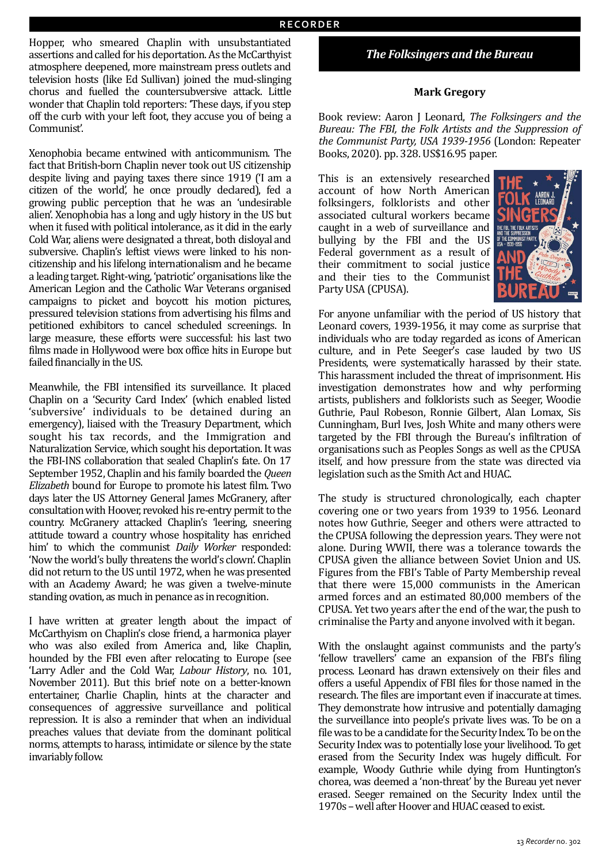Hopper, who smeared Chaplin with unsubstantiated assertions and called for his deportation. As the McCarthyist atmosphere deepened, more mainstream press outlets and television hosts (like Ed Sullivan) joined the mud-slinging chorus and fuelled the countersubversive attack. Little wonder that Chaplin told reporters: 'These days, if you step off the curb with your left foot, they accuse you of being a Communist'.

Xenophobia became entwined with anticommunism. The fact that British-born Chaplin never took out US citizenship despite living and paying taxes there since 1919 ('I am a citizen of the world', he once proudly declared), fed a growing public perception that he was an 'undesirable alien'. Xenophobia has a long and ugly history in the US but when it fused with political intolerance, as it did in the early Cold War, aliens were designated a threat, both disloyal and subversive. Chaplin's leftist views were linked to his noncitizenship and his lifelong internationalism and he became a leading target. Right-wing, 'patriotic' organisations like the American Legion and the Catholic War Veterans organised campaigns to picket and boycott his motion pictures, pressured television stations from advertising his films and petitioned exhibitors to cancel scheduled screenings. In large measure, these efforts were successful: his last two films made in Hollywood were box office hits in Europe but failed financially in the US.

Meanwhile, the FBI intensified its surveillance. It placed Chaplin on a 'Security Card Index' (which enabled listed 'subversive' individuals to be detained during an emergency), liaised with the Treasury Department, which sought his tax records, and the Immigration and Naturalization Service, which sought his deportation. It was the FBI-INS collaboration that sealed Chaplin's fate. On 17 September 1952, Chaplin and his family boarded the *Queen Elizabeth* bound for Europe to promote his latest film. Two days later the US Attorney General James McGranery, after consultation with Hoover, revoked his re-entry permit to the country. McGranery attacked Chaplin's 'leering, sneering attitude toward a country whose hospitality has enriched him' to which the communist *Daily Worker* responded: 'Now the world's bully threatens the world's clown'. Chaplin did not return to the US until 1972, when he was presented with an Academy Award; he was given a twelve-minute standing ovation, as much in penance as in recognition.

I have written at greater length about the impact of McCarthyism on Chaplin's close friend, a harmonica player who was also exiled from America and, like Chaplin, hounded by the FBI even after relocating to Europe (see 'Larry Adler and the Cold War, *Labour History*, no. 101, November 2011). But this brief note on a better-known entertainer, Charlie Chaplin, hints at the character and consequences of aggressive surveillance and political repression. It is also a reminder that when an individual preaches values that deviate from the dominant political norms, attempts to harass, intimidate or silence by the state invariably follow.

## *The Folksingers and the Bureau*

#### **Mark Gregory**

Book review: Aaron J Leonard, *The Folksingers and the Bureau: The FBI, the Folk Artists and the Suppression of* the Communist Party, USA 1939-1956 (London: Repeater Books, 2020). pp. 328. US\$16.95 paper.

This is an extensively researched account of how North American folksingers, folklorists and other associated cultural workers became caught in a web of surveillance and bullying by the FBI and the US Federal government as a result of their commitment to social justice and their ties to the Communist Party USA (CPUSA).



For anyone unfamiliar with the period of US history that Leonard covers, 1939-1956, it may come as surprise that individuals who are today regarded as icons of American culture, and in Pete Seeger's case lauded by two US Presidents, were systematically harassed by their state. This harassment included the threat of imprisonment. His investigation demonstrates how and why performing artists, publishers and folklorists such as Seeger, Woodie Guthrie, Paul Robeson, Ronnie Gilbert, Alan Lomax, Sis Cunningham, Burl Ives, Josh White and many others were targeted by the FBI through the Bureau's infiltration of organisations such as Peoples Songs as well as the CPUSA itself, and how pressure from the state was directed via legislation such as the Smith Act and HUAC.

The study is structured chronologically, each chapter covering one or two years from 1939 to 1956. Leonard notes how Guthrie, Seeger and others were attracted to the CPUSA following the depression years. They were not alone. During WWII, there was a tolerance towards the CPUSA given the alliance between Soviet Union and US. Figures from the FBI's Table of Party Membership reveal that there were 15,000 communists in the American armed forces and an estimated 80,000 members of the CPUSA. Yet two years after the end of the war, the push to criminalise the Party and anyone involved with it began.

With the onslaught against communists and the party's 'fellow travellers' came an expansion of the FBI's filing process. Leonard has drawn extensively on their files and offers a useful Appendix of FBI files for those named in the research. The files are important even if inaccurate at times. They demonstrate how intrusive and potentially damaging the surveillance into people's private lives was. To be on a file was to be a candidate for the Security Index. To be on the Security Index was to potentially lose your livelihood. To get erased from the Security Index was hugely difficult. For example, Woody Guthrie while dying from Huntington's chorea, was deemed a 'non-threat' by the Bureau yet never erased. Seeger remained on the Security Index until the 1970s – well after Hoover and HUAC ceased to exist.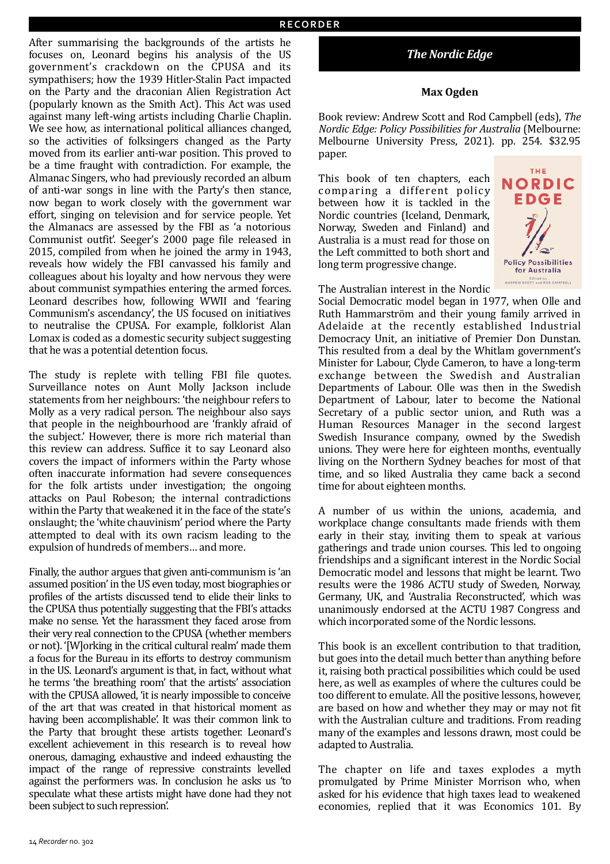After summarising the backgrounds of the artists he focuses on, Leonard begins his analysis of the US government's crackdown on the CPUSA and its sympathisers; how the 1939 Hitler-Stalin Pact impacted on the Party and the draconian Alien Registration Act (popularly known as the Smith Act). This Act was used against many left-wing artists including Charlie Chaplin. We see how, as international political alliances changed, so the activities of folksingers changed as the Party moved from its earlier anti-war position. This proved to be a time fraught with contradiction. For example, the Almanac Singers, who had previously recorded an album of anti-war songs in line with the Party's then stance, now began to work closely with the government war effort, singing on television and for service people. Yet the Almanacs are assessed by the FBI as 'a notorious Communist outfit'. Seeger's 2000 page file released in 2015, compiled from when he joined the army in 1943, reveals how widely the FBI canvassed his family and colleagues about his loyalty and how nervous they were about communist sympathies entering the armed forces. Leonard describes how, following WWII and 'fearing Communism's ascendancy', the US focused on initiatives to neutralise the CPUSA. For example, folklorist Alan Lomax is coded as a domestic security subject suggesting that he was a potential detention focus.

The study is replete with telling FBI file quotes. Surveillance notes on Aunt Molly Jackson include statements from her neighbours: 'the neighbour refers to Molly as a very radical person. The neighbour also says that people in the neighbourhood are 'frankly afraid of the subject.' However, there is more rich material than this review can address. Suffice it to say Leonard also covers the impact of informers within the Party whose often inaccurate information had severe consequences for the folk artists under investigation; the ongoing attacks on Paul Robeson; the internal contradictions within the Party that weakened it in the face of the state's onslaught; the 'white chauvinism' period where the Party attempted to deal with its own racism leading to the expulsion of hundreds of members... and more.

Finally, the author argues that given anti-communism is 'an assumed position' in the US even today, most biographies or profiles of the artists discussed tend to elide their links to the CPUSA thus potentially suggesting that the FBI's attacks make no sense. Yet the harassment they faced arose from their very real connection to the CPUSA (whether members or not). '[W]orking in the critical cultural realm' made them a focus for the Bureau in its efforts to destroy communism in the US. Leonard's argument is that, in fact, without what he terms 'the breathing room' that the artists' association with the CPUSA allowed, 'it is nearly impossible to conceive of the art that was created in that historical moment as having been accomplishable'. It was their common link to the Party that brought these artists together. Leonard's excellent achievement in this research is to reveal how onerous, damaging, exhaustive and indeed exhausting the impact of the range of repressive constraints levelled against the performers was. In conclusion he asks us 'to speculate what these artists might have done had they not been subject to such repression'.

# **The Nordic Edge**

## **Max Ogden**

Book review: Andrew Scott and Rod Campbell (eds), *The Nordic Edge: Policy Possibilities for Australia* (Melbourne: Melbourne University Press, 2021). pp. 254. \$32.95 paper.

> THE NORDIC EDGE

**Policy Possibilities** for Australia Edited by<br>ANDREW SCOTT and ROD CAMPBELL

This book of ten chapters, each comparing a different policy between how it is tackled in the Nordic countries (Iceland, Denmark, Norway, Sweden and Finland) and Australia is a must read for those on the Left committed to both short and long term progressive change.



Social Democratic model began in 1977, when Olle and Ruth Hammarström and their young family arrived in Adelaide at the recently established Industrial Democracy Unit, an initiative of Premier Don Dunstan. This resulted from a deal by the Whitlam government's Minister for Labour, Clyde Cameron, to have a long-term exchange between the Swedish and Australian Departments of Labour. Olle was then in the Swedish Department of Labour, later to become the National Secretary of a public sector union, and Ruth was a Human Resources Manager in the second largest Swedish Insurance company, owned by the Swedish unions. They were here for eighteen months, eventually living on the Northern Sydney beaches for most of that time, and so liked Australia they came back a second time for about eighteen months.

A number of us within the unions, academia, and workplace change consultants made friends with them early in their stay, inviting them to speak at various gatherings and trade union courses. This led to ongoing friendships and a significant interest in the Nordic Social Democratic model and lessons that might be learnt. Two results were the 1986 ACTU study of Sweden, Norway, Germany, UK, and 'Australia Reconstructed', which was unanimously endorsed at the ACTU 1987 Congress and which incorporated some of the Nordic lessons.

This book is an excellent contribution to that tradition, but goes into the detail much better than anything before it, raising both practical possibilities which could be used here, as well as examples of where the cultures could be too different to emulate. All the positive lessons, however, are based on how and whether they may or may not fit with the Australian culture and traditions. From reading many of the examples and lessons drawn, most could be adapted to Australia.

The chapter on life and taxes explodes a myth promulgated by Prime Minister Morrison who, when asked for his evidence that high taxes lead to weakened economies, replied that it was Economics 101. By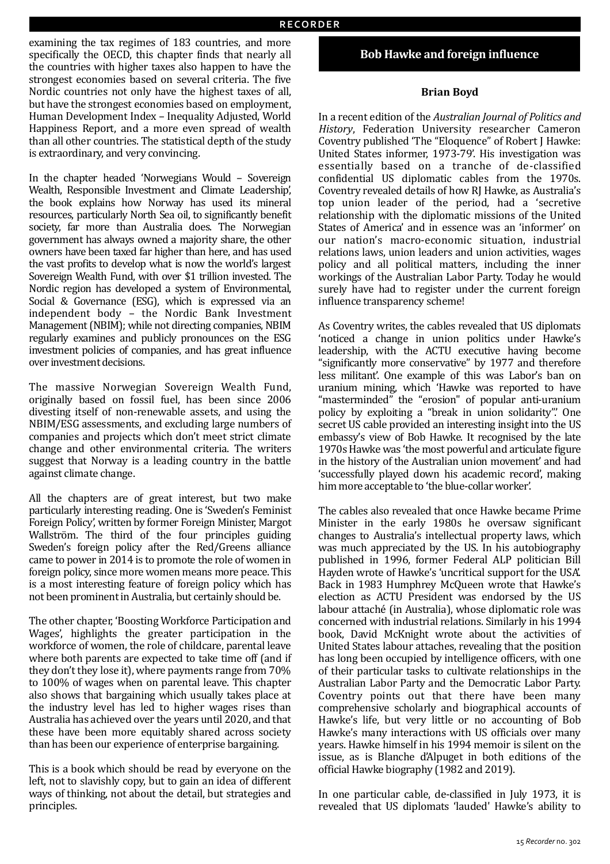examining the tax regimes of 183 countries, and more specifically the OECD, this chapter finds that nearly all the countries with higher taxes also happen to have the strongest economies based on several criteria. The five Nordic countries not only have the highest taxes of all, but have the strongest economies based on employment, Human Development Index - Inequality Adjusted, World Happiness Report, and a more even spread of wealth than all other countries. The statistical depth of the study is extraordinary, and very convincing.

In the chapter headed 'Norwegians Would – Sovereign Wealth, Responsible Investment and Climate Leadership', the book explains how Norway has used its mineral resources, particularly North Sea oil, to significantly benefit society, far more than Australia does. The Norwegian government has always owned a majority share, the other owners have been taxed far higher than here, and has used the vast profits to develop what is now the world's largest Sovereign Wealth Fund, with over \$1 trillion invested. The Nordic region has developed a system of Environmental, Social & Governance (ESG), which is expressed via an independent body - the Nordic Bank Investment Management (NBIM); while not directing companies, NBIM regularly examines and publicly pronounces on the ESG investment policies of companies, and has great influence over investment decisions.

The massive Norwegian Sovereign Wealth Fund, originally based on fossil fuel, has been since 2006 divesting itself of non-renewable assets, and using the NBIM/ESG assessments, and excluding large numbers of companies and projects which don't meet strict climate change and other environmental criteria. The writers suggest that Norway is a leading country in the battle against climate change.

All the chapters are of great interest, but two make particularly interesting reading. One is 'Sweden's Feminist Foreign Policy', written by former Foreign Minister, Margot Wallström. The third of the four principles guiding Sweden's foreign policy after the Red/Greens alliance came to power in 2014 is to promote the role of women in foreign policy, since more women means more peace. This is a most interesting feature of foreign policy which has not been prominent in Australia, but certainly should be.

The other chapter, 'Boosting Workforce Participation and Wages', highlights the greater participation in the workforce of women, the role of childcare, parental leave where both parents are expected to take time off (and if they don't they lose it), where payments range from  $70\%$ to 100% of wages when on parental leave. This chapter also shows that bargaining which usually takes place at the industry level has led to higher wages rises than Australia has achieved over the vears until 2020, and that these have been more equitably shared across society than has been our experience of enterprise bargaining.

This is a book which should be read by everyone on the left, not to slavishly copy, but to gain an idea of different ways of thinking, not about the detail, but strategies and principles.

# **Bob Hawke and foreign influence**

#### **Brian Boyd**

In a recent edition of the *Australian Journal of Politics and* History, Federation University researcher Cameron Coventry published 'The "Eloquence" of Robert J Hawke: United States informer, 1973-79'. His investigation was essentially based on a tranche of de-classified confidential US diplomatic cables from the 1970s. Coventry revealed details of how RJ Hawke, as Australia's top union leader of the period, had a 'secretive relationship with the diplomatic missions of the United States of America' and in essence was an 'informer' on our nation's macro-economic situation, industrial relations laws, union leaders and union activities, wages policy and all political matters, including the inner workings of the Australian Labor Party. Today he would surely have had to register under the current foreign influence transparency scheme!

As Coventry writes, the cables revealed that US diplomats 'noticed a change in union politics under Hawke's leadership, with the ACTU executive having become "significantly more conservative" by 1977 and therefore less militant'. One example of this was Labor's ban on uranium mining, which 'Hawke was reported to have "masterminded" the "erosion" of popular anti-uranium policy by exploiting a "break in union solidarity". One secret US cable provided an interesting insight into the US embassy's view of Bob Hawke. It recognised by the late 1970s Hawke was 'the most powerful and articulate figure in the history of the Australian union movement' and had 'successfully played down his academic record', making him more acceptable to 'the blue-collar worker'.

The cables also revealed that once Hawke became Prime Minister in the early 1980s he oversaw significant changes to Australia's intellectual property laws, which was much appreciated by the US. In his autobiography published in 1996, former Federal ALP politician Bill Hayden wrote of Hawke's 'uncritical support for the USA'. Back in 1983 Humphrey McQueen wrote that Hawke's election as ACTU President was endorsed by the US labour attaché (in Australia), whose diplomatic role was concerned with industrial relations. Similarly in his 1994 book, David McKnight wrote about the activities of United States labour attaches, revealing that the position has long been occupied by intelligence officers, with one of their particular tasks to cultivate relationships in the Australian Labor Party and the Democratic Labor Party. Coventry points out that there have been many comprehensive scholarly and biographical accounts of Hawke's life, but very little or no accounting of Bob Hawke's many interactions with US officials over many years. Hawke himself in his 1994 memoir is silent on the issue, as is Blanche d'Alpuget in both editions of the official Hawke biography (1982 and 2019).

In one particular cable, de-classified in July 1973, it is revealed that US diplomats 'lauded' Hawke's ability to